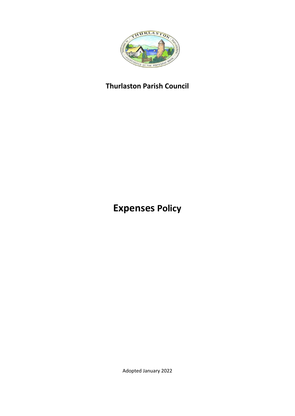

# **Thurlaston Parish Council**

# **Expenses Policy**

Adopted January 2022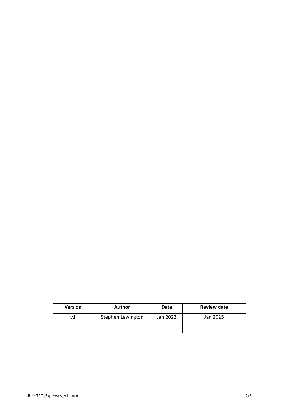| <b>Version</b> | <b>Author</b>     | <b>Date</b> | <b>Review date</b> |
|----------------|-------------------|-------------|--------------------|
|                | Stephen Lewington | Jan 2022    | Jan 2025           |
|                |                   |             |                    |